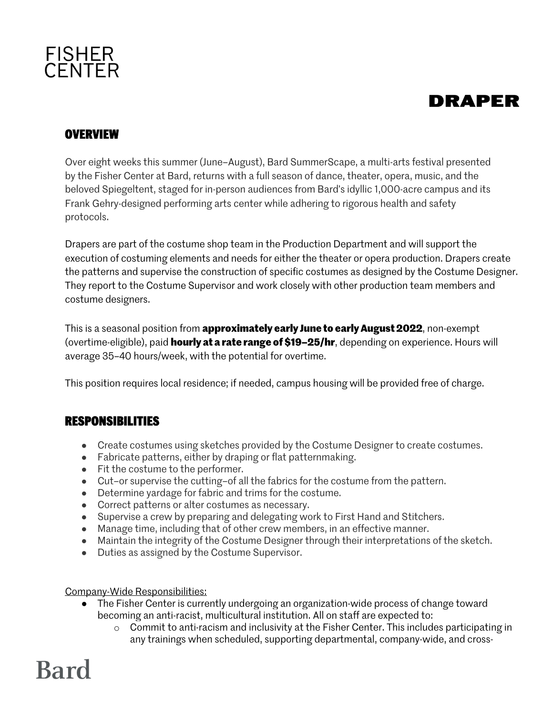# **FISHER<br>CENTER**

# **DRAPER**

### **OVERVIEW**

Over eight weeks this summer (June–August), Bard SummerScape, a multi-arts festival presented by the Fisher Center at Bard, returns with a full season of dance, theater, opera, music, and the beloved Spiegeltent, staged for in-person audiences from Bard's idyllic 1,000-acre campus and its Frank Gehry-designed performing arts center while adhering to rigorous health and safety protocols.

Drapers are part of the costume shop team in the Production Department and will support the execution of costuming elements and needs for either the theater or opera production. Drapers create the patterns and supervise the construction of specific costumes as designed by the Costume Designer. They report to the Costume Supervisor and work closely with other production team members and costume designers.

This is a seasonal position from **approximately early June to early August 2022**, non-exempt (overtime-eligible), paid **hourly at a rate range of \$19–25/hr**, depending on experience. Hours will average 35–40 hours/week, with the potential for overtime.

This position requires local residence; if needed, campus housing will be provided free of charge.

### **RESPONSIBILITIES**

- Create costumes using sketches provided by the Costume Designer to create costumes.
- Fabricate patterns, either by draping or flat patternmaking.
- Fit the costume to the performer.
- Cut–or supervise the cutting–of all the fabrics for the costume from the pattern.
- Determine yardage for fabric and trims for the costume.
- Correct patterns or alter costumes as necessary.
- Supervise a crew by preparing and delegating work to First Hand and Stitchers.
- Manage time, including that of other crew members, in an effective manner.
- Maintain the integrity of the Costume Designer through their interpretations of the sketch.
- Duties as assigned by the Costume Supervisor.

#### Company-Wide Responsibilities:

- The Fisher Center is currently undergoing an organization-wide process of change toward becoming an anti-racist, multicultural institution. All on staff are expected to:
	- $\circ$  Commit to anti-racism and inclusivity at the Fisher Center. This includes participating in any trainings when scheduled, supporting departmental, company-wide, and cross-

# **Bard**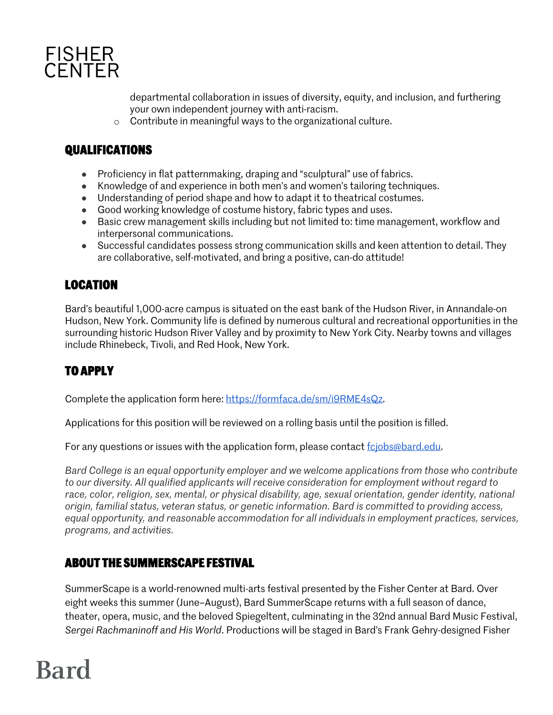

departmental collaboration in issues of diversity, equity, and inclusion, and furthering your own independent journey with anti-racism.

o Contribute in meaningful ways to the organizational culture.

## **QUALIFICATIONS**

- Proficiency in flat patternmaking, draping and "sculptural" use of fabrics.
- Knowledge of and experience in both men's and women's tailoring techniques.
- Understanding of period shape and how to adapt it to theatrical costumes.
- Good working knowledge of costume history, fabric types and uses.
- Basic crew management skills including but not limited to: time management, workflow and interpersonal communications.
- Successful candidates possess strong communication skills and keen attention to detail. They are collaborative, self-motivated, and bring a positive, can-do attitude!

# **LOCATION**

Bard's beautiful 1,000-acre campus is situated on the east bank of the Hudson River, in Annandale-on Hudson, New York. Community life is defined by numerous cultural and recreational opportunities in the surrounding historic Hudson River Valley and by proximity to New York City. Nearby towns and villages include Rhinebeck, Tivoli, and Red Hook, New York.

# **TO APPLY**

Complete the application form here: https://formfaca.de/sm/i9RME4sQz.

Applications for this position will be reviewed on a rolling basis until the position is filled.

For any questions or issues with the application form, please contact fcjobs@bard.edu.

*Bard College is an equal opportunity employer and we welcome applications from those who contribute to our diversity. All qualified applicants will receive consideration for employment without regard to race, color, religion, sex, mental, or physical disability, age, sexual orientation, gender identity, national origin, familial status, veteran status, or genetic information. Bard is committed to providing access, equal opportunity, and reasonable accommodation for all individuals in employment practices, services, programs, and activities.*

### **ABOUT THE SUMMERSCAPE FESTIVAL**

SummerScape is a world-renowned multi-arts festival presented by the Fisher Center at Bard. Over eight weeks this summer (June–August), Bard SummerScape returns with a full season of dance, theater, opera, music, and the beloved Spiegeltent, culminating in the 32nd annual Bard Music Festival, *Sergei Rachmaninoff and His World*. Productions will be staged in Bard's Frank Gehry-designed Fisher

# **Bard**